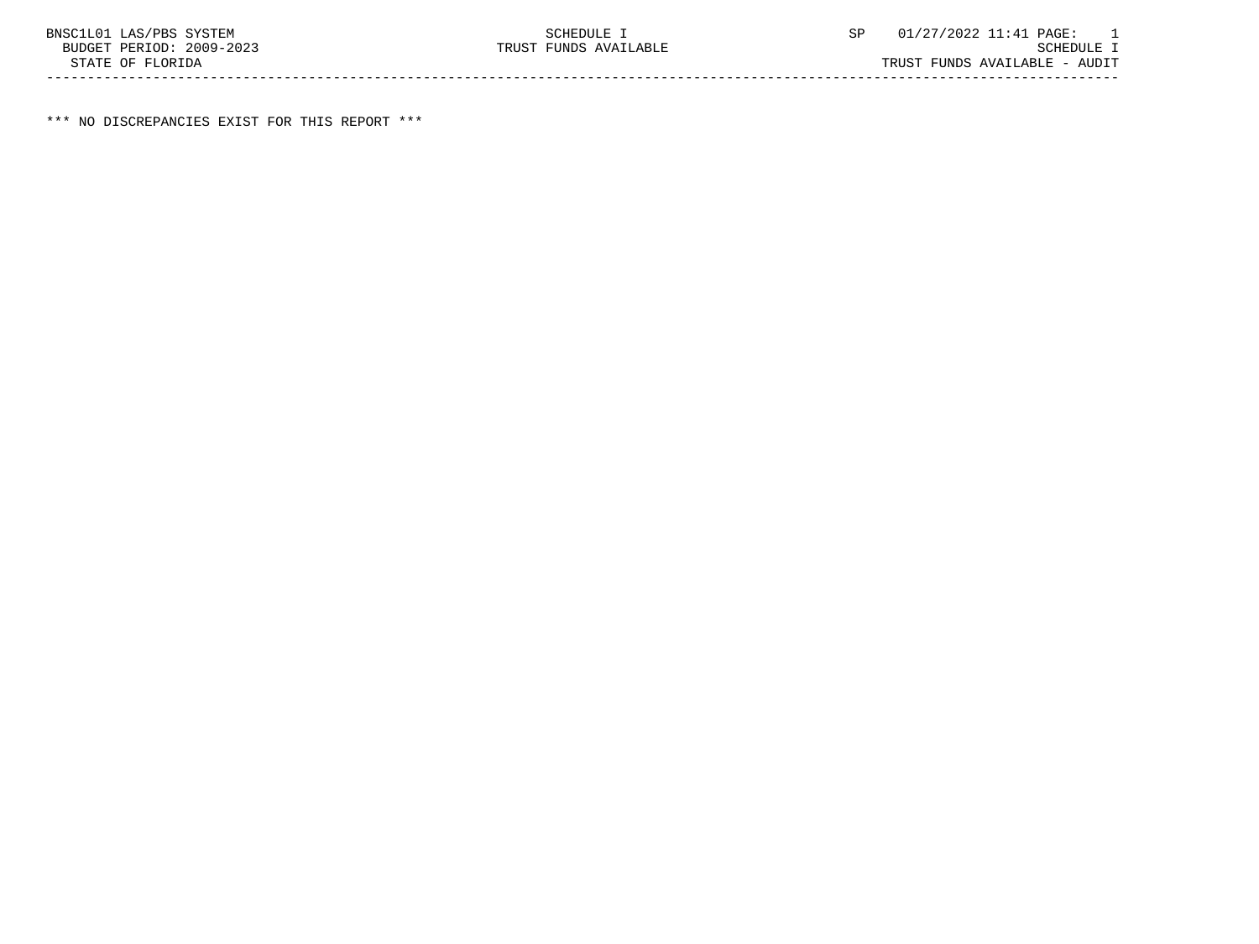\*\*\* NO DISCREPANCIES EXIST FOR THIS REPORT \*\*\*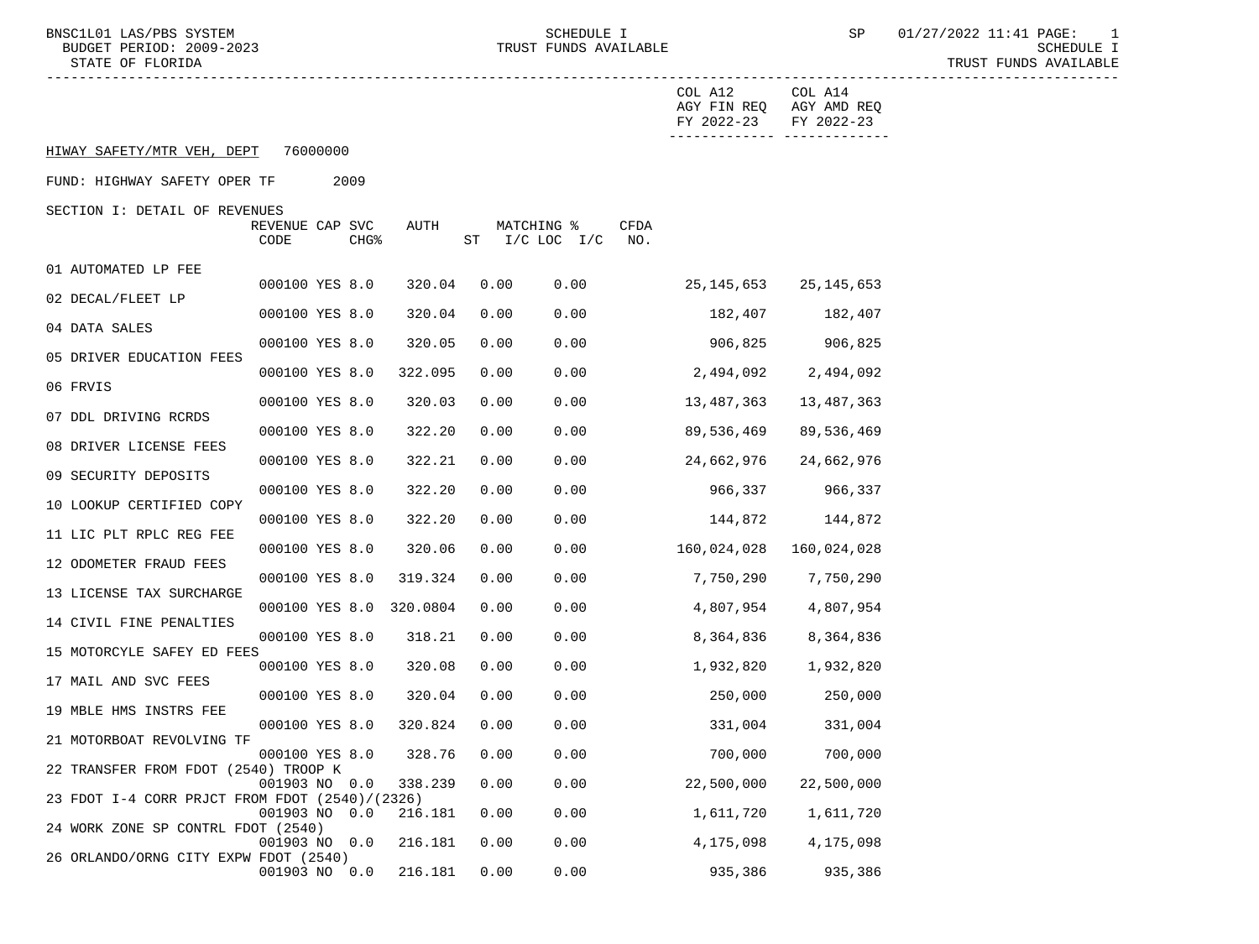BNSC1L01 LAS/PBS SYSTEM STREM SCHEDULE I SCHEDULE I SP 01/27/2022 11:41 PAGE: 1

STATE OF FLORIDA TRUST FUNDS AVAILABLE

|                                                |                         |  |                  |                         |      |                              |                    | COL A12<br>AGY FIN REQ<br>FY 2022-23 | COL A14<br>AGY AMD REQ<br>FY 2022-23<br>------------- ------------- |
|------------------------------------------------|-------------------------|--|------------------|-------------------------|------|------------------------------|--------------------|--------------------------------------|---------------------------------------------------------------------|
| HIWAY SAFETY/MTR VEH, DEPT<br>76000000         |                         |  |                  |                         |      |                              |                    |                                      |                                                                     |
| FUND: HIGHWAY SAFETY OPER TF                   |                         |  |                  |                         |      |                              |                    |                                      |                                                                     |
| SECTION I: DETAIL OF REVENUES                  |                         |  |                  |                         |      |                              |                    |                                      |                                                                     |
|                                                | REVENUE CAP SVC<br>CODE |  | CHG <sup>8</sup> | AUTH                    |      | MATCHING %<br>ST I/C LOC I/C | <b>CFDA</b><br>NO. |                                      |                                                                     |
|                                                |                         |  |                  |                         |      |                              |                    |                                      |                                                                     |
| 01 AUTOMATED LP FEE                            | 000100 YES 8.0          |  |                  | 320.04                  | 0.00 | 0.00                         |                    | 25,145,653                           | 25,145,653                                                          |
| 02 DECAL/FLEET LP                              |                         |  |                  |                         |      |                              |                    |                                      |                                                                     |
| 04 DATA SALES                                  | 000100 YES 8.0          |  |                  | 320.04                  | 0.00 | 0.00                         |                    | 182,407                              | 182,407                                                             |
|                                                | 000100 YES 8.0          |  |                  | 320.05                  | 0.00 | 0.00                         |                    | 906,825                              | 906,825                                                             |
| 05 DRIVER EDUCATION FEES                       |                         |  |                  |                         | 0.00 |                              |                    |                                      |                                                                     |
| 06 FRVIS                                       | 000100 YES 8.0          |  |                  | 322.095                 |      | 0.00                         |                    | 2,494,092                            | 2,494,092                                                           |
|                                                | 000100 YES 8.0          |  |                  | 320.03                  | 0.00 | 0.00                         |                    | 13,487,363                           | 13,487,363                                                          |
| 07 DDL DRIVING RCRDS                           | 000100 YES 8.0          |  |                  | 322.20                  | 0.00 | 0.00                         |                    | 89,536,469                           | 89,536,469                                                          |
| 08 DRIVER LICENSE FEES                         |                         |  |                  |                         |      |                              |                    |                                      |                                                                     |
| 09 SECURITY DEPOSITS                           | 000100 YES 8.0          |  |                  | 322.21                  | 0.00 | 0.00                         |                    | 24,662,976                           | 24,662,976                                                          |
|                                                | 000100 YES 8.0          |  |                  | 322.20                  | 0.00 | 0.00                         |                    | 966,337                              | 966,337                                                             |
| 10 LOOKUP CERTIFIED COPY                       | 000100 YES 8.0          |  |                  | 322.20                  | 0.00 | 0.00                         |                    | 144,872                              | 144,872                                                             |
| 11 LIC PLT RPLC REG FEE                        |                         |  |                  |                         |      |                              |                    |                                      |                                                                     |
|                                                | 000100 YES 8.0          |  |                  | 320.06                  | 0.00 | 0.00                         |                    | 160,024,028                          | 160,024,028                                                         |
| 12 ODOMETER FRAUD FEES                         | 000100 YES 8.0          |  |                  | 319.324                 | 0.00 | 0.00                         |                    | 7,750,290                            | 7,750,290                                                           |
| 13 LICENSE TAX SURCHARGE                       |                         |  |                  |                         |      |                              |                    |                                      |                                                                     |
| 14 CIVIL FINE PENALTIES                        |                         |  |                  | 000100 YES 8.0 320.0804 | 0.00 | 0.00                         |                    | 4,807,954                            | 4,807,954                                                           |
|                                                | 000100 YES 8.0          |  |                  | 318.21                  | 0.00 | 0.00                         |                    | 8,364,836                            | 8,364,836                                                           |
| 15 MOTORCYLE SAFEY ED FEES                     | 000100 YES 8.0          |  |                  | 320.08                  | 0.00 | 0.00                         |                    | 1,932,820                            | 1,932,820                                                           |
| 17 MAIL AND SVC FEES                           |                         |  |                  |                         |      |                              |                    |                                      |                                                                     |
|                                                | 000100 YES 8.0          |  |                  | 320.04                  | 0.00 | 0.00                         |                    | 250,000                              | 250,000                                                             |
| 19 MBLE HMS INSTRS FEE                         | 000100 YES 8.0          |  |                  | 320.824                 | 0.00 | 0.00                         |                    | 331,004                              | 331,004                                                             |
| 21 MOTORBOAT REVOLVING TF                      |                         |  |                  |                         |      |                              |                    |                                      |                                                                     |
| 22 TRANSFER FROM FDOT (2540) TROOP K           | 000100 YES 8.0          |  |                  | 328.76                  | 0.00 | 0.00                         |                    | 700,000                              | 700,000                                                             |
|                                                | 001903 NO 0.0           |  |                  | 338.239                 | 0.00 | 0.00                         |                    | 22,500,000                           | 22,500,000                                                          |
| 23 FDOT I-4 CORR PRJCT FROM FDOT (2540)/(2326) |                         |  |                  | 216.181                 |      |                              |                    |                                      |                                                                     |
| 24 WORK ZONE SP CONTRL FDOT (2540)             | 001903 NO 0.0           |  |                  |                         | 0.00 | 0.00                         |                    | 1,611,720                            | 1,611,720                                                           |
|                                                | 001903 NO 0.0           |  |                  | 216.181                 | 0.00 | 0.00                         |                    | 4,175,098                            | 4,175,098                                                           |
| 26 ORLANDO/ORNG CITY EXPW FDOT (2540)          | 001903 NO 0.0           |  |                  | 216.181                 | 0.00 | 0.00                         |                    | 935,386                              | 935,386                                                             |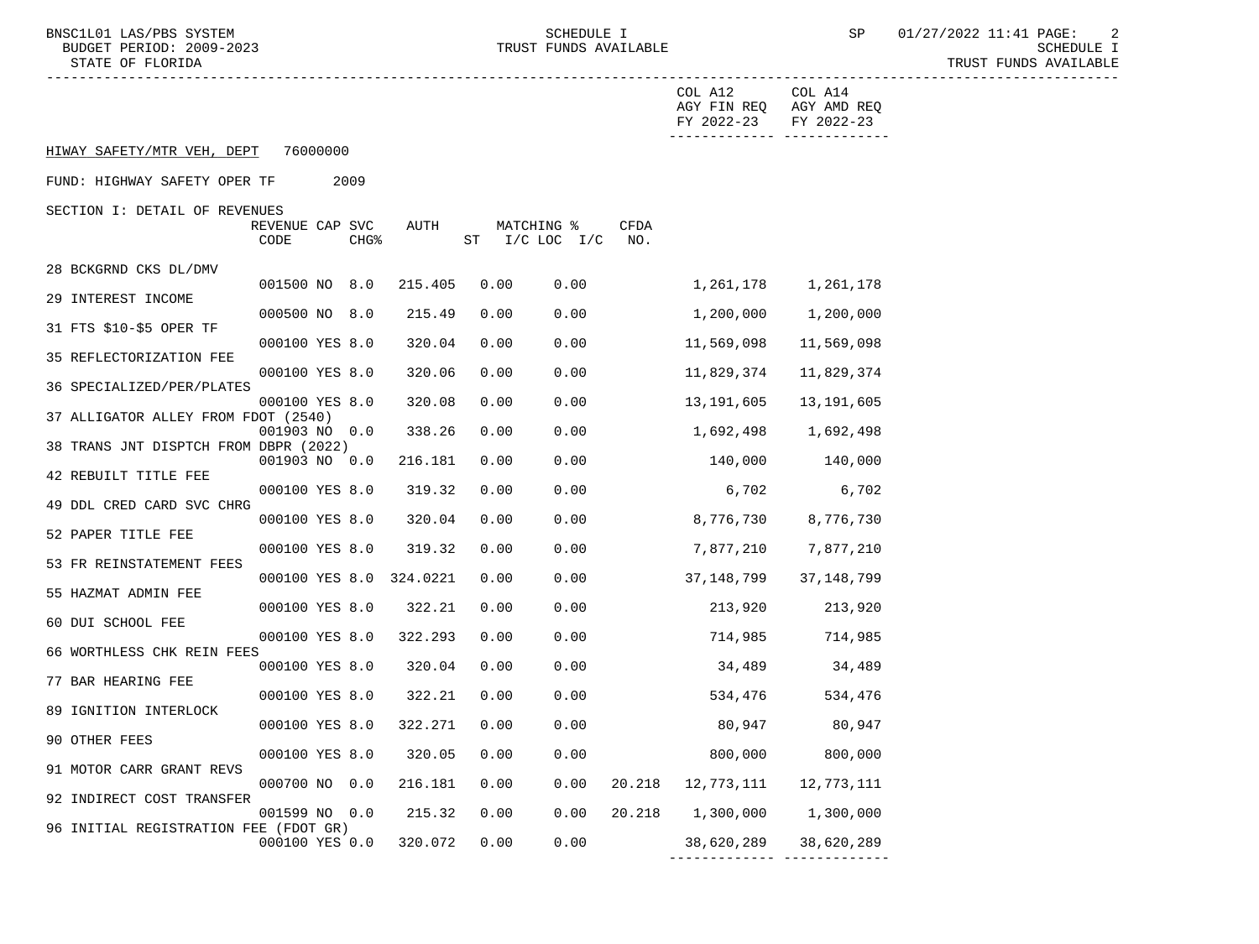BNSC1L01 LAS/PBS SYSTEM STRIM SCHEDULE I SCHEDULE I SP 01/27/2022 11:41 PAGE: 2

STATE OF FLORIDA TRUST FUNDS AVAILABLE

|                                       |                         |  |                  |          |      |            |                 |             | COL A12                   | COL A14                    |
|---------------------------------------|-------------------------|--|------------------|----------|------|------------|-----------------|-------------|---------------------------|----------------------------|
|                                       |                         |  |                  |          |      |            |                 |             | AGY FIN REQ<br>FY 2022-23 | AGY AMD REQ<br>FY 2022-23  |
| HIWAY SAFETY/MTR VEH, DEPT            | 76000000                |  |                  |          |      |            |                 |             |                           | ______________ ___________ |
| FUND: HIGHWAY SAFETY OPER TF<br>2009  |                         |  |                  |          |      |            |                 |             |                           |                            |
| SECTION I: DETAIL OF REVENUES         |                         |  |                  |          |      |            |                 |             |                           |                            |
|                                       | REVENUE CAP SVC<br>CODE |  | CHG <sup>8</sup> | AUTH     | ST   | MATCHING % | $I/C$ LOC $I/C$ | CFDA<br>NO. |                           |                            |
| 28 BCKGRND CKS DL/DMV                 |                         |  |                  |          |      |            |                 |             |                           |                            |
|                                       | 001500 NO 8.0           |  |                  | 215.405  | 0.00 |            | 0.00            |             | 1,261,178                 | 1,261,178                  |
| 29 INTEREST INCOME                    | 000500 NO 8.0           |  |                  | 215.49   | 0.00 |            | 0.00            |             | 1,200,000                 | 1,200,000                  |
| 31 FTS \$10-\$5 OPER TF               | 000100 YES 8.0          |  |                  | 320.04   | 0.00 |            | 0.00            |             | 11,569,098                | 11,569,098                 |
| 35 REFLECTORIZATION FEE               |                         |  |                  |          |      |            |                 |             |                           |                            |
| 36 SPECIALIZED/PER/PLATES             | 000100 YES 8.0          |  |                  | 320.06   | 0.00 |            | 0.00            |             | 11,829,374                | 11,829,374                 |
|                                       | 000100 YES 8.0          |  |                  | 320.08   | 0.00 |            | 0.00            |             | 13,191,605                | 13,191,605                 |
| 37 ALLIGATOR ALLEY FROM FDOT (2540)   | 001903 NO 0.0           |  |                  | 338.26   | 0.00 |            | 0.00            |             | 1,692,498                 | 1,692,498                  |
| 38 TRANS JNT DISPTCH FROM DBPR (2022) |                         |  |                  |          |      |            |                 |             |                           |                            |
| 42 REBUILT TITLE FEE                  | 001903 NO 0.0           |  |                  | 216.181  | 0.00 |            | 0.00            |             | 140,000                   | 140,000                    |
|                                       | 000100 YES 8.0          |  |                  | 319.32   | 0.00 |            | 0.00            |             | 6,702                     | 6,702                      |
| 49 DDL CRED CARD SVC CHRG             | 000100 YES 8.0          |  |                  | 320.04   | 0.00 |            | 0.00            |             | 8,776,730                 | 8,776,730                  |
| 52 PAPER TITLE FEE                    |                         |  |                  |          |      |            |                 |             |                           |                            |
| 53 FR REINSTATEMENT FEES              | 000100 YES 8.0          |  |                  | 319.32   | 0.00 |            | 0.00            |             | 7,877,210                 | 7,877,210                  |
|                                       | 000100 YES 8.0          |  |                  | 324.0221 | 0.00 |            | 0.00            |             | 37,148,799                | 37,148,799                 |
| 55 HAZMAT ADMIN FEE                   | 000100 YES 8.0          |  |                  | 322.21   | 0.00 |            | 0.00            |             | 213,920                   | 213,920                    |
| 60 DUI SCHOOL FEE                     |                         |  |                  |          |      |            |                 |             |                           |                            |
| 66 WORTHLESS CHK REIN FEES            | 000100 YES 8.0          |  |                  | 322.293  | 0.00 |            | 0.00            |             | 714,985                   | 714,985                    |
|                                       | 000100 YES 8.0          |  |                  | 320.04   | 0.00 |            | 0.00            |             | 34,489                    | 34,489                     |
| 77 BAR HEARING FEE                    | 000100 YES 8.0          |  |                  | 322.21   | 0.00 |            | 0.00            |             | 534,476                   | 534,476                    |
| 89 IGNITION INTERLOCK                 |                         |  |                  |          |      |            |                 |             |                           |                            |
| 90 OTHER FEES                         | 000100 YES 8.0          |  |                  | 322.271  | 0.00 |            | 0.00            |             | 80,947                    | 80,947                     |
| 91 MOTOR CARR GRANT REVS              | 000100 YES 8.0          |  |                  | 320.05   | 0.00 |            | 0.00            |             | 800,000                   | 800,000                    |
|                                       | 000700 NO 0.0           |  |                  | 216.181  | 0.00 |            | 0.00            |             | 20.218 12,773,111         | 12,773,111                 |
| 92 INDIRECT COST TRANSFER             | 001599 NO 0.0           |  |                  | 215.32   | 0.00 |            | 0.00            | 20.218      | 1,300,000                 | 1,300,000                  |
| 96 INITIAL REGISTRATION FEE (FDOT GR) |                         |  |                  |          |      |            |                 |             |                           |                            |
|                                       | 000100 YES 0.0          |  |                  | 320.072  | 0.00 |            | 0.00            |             |                           | 38,620,289 38,620,289      |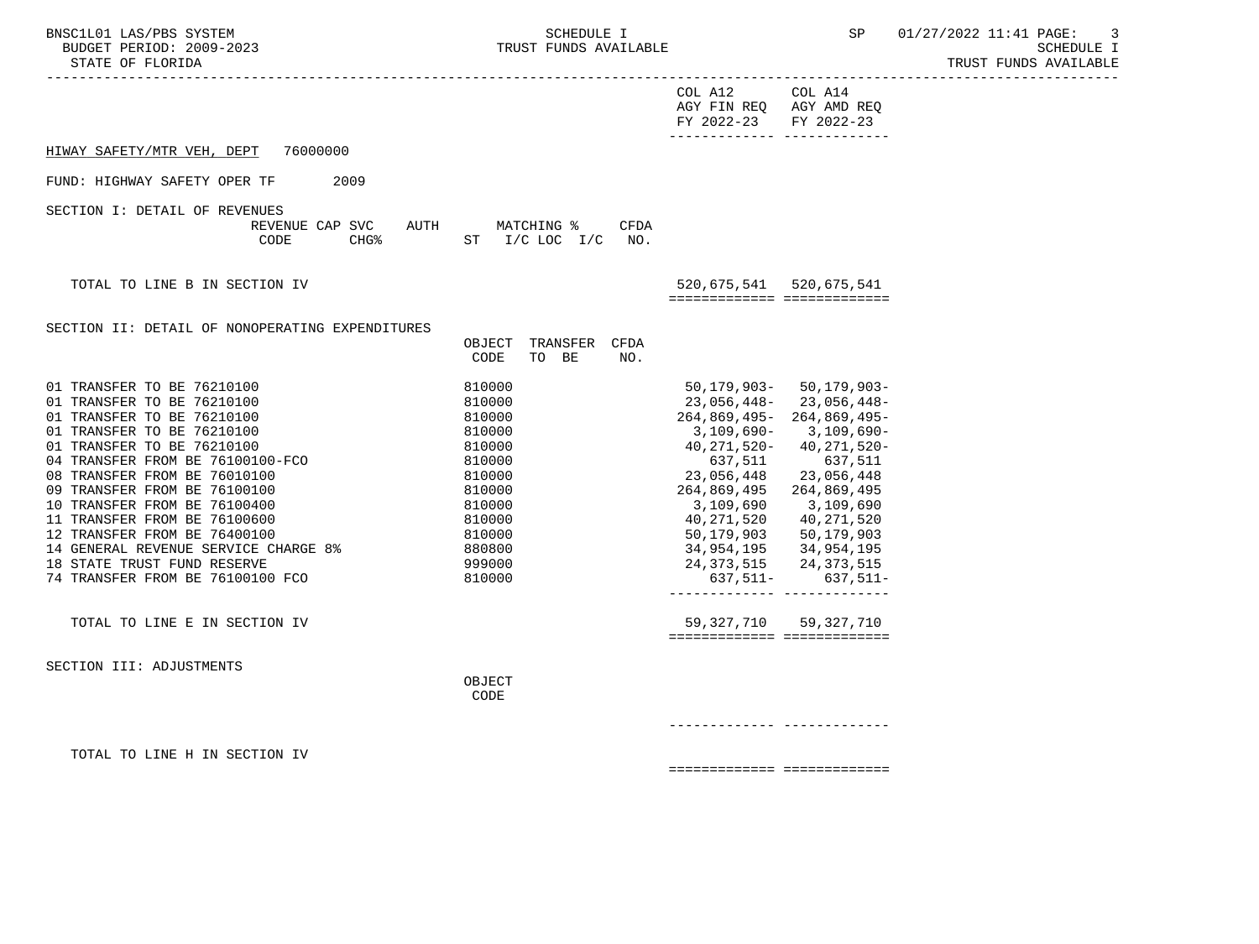| BNSC1L01 LAS/PBS SYSTEM<br>BUDGET PERIOD: 2009-2023<br>STATE OF FLORIDA<br>------------------                                                                                                                                                                                                                                                                                                                                                                                                      | SCHEDULE I<br>TRUST FUNDS AVAILABLE                                                                                                      | -------------------------------                                                                                                                                                            | SP                                                                                                                                                                                                                                                      | 01/27/2022 11:41 PAGE:<br>-3<br><b>SCHEDULE I</b><br>TRUST FUNDS AVAILABLE |
|----------------------------------------------------------------------------------------------------------------------------------------------------------------------------------------------------------------------------------------------------------------------------------------------------------------------------------------------------------------------------------------------------------------------------------------------------------------------------------------------------|------------------------------------------------------------------------------------------------------------------------------------------|--------------------------------------------------------------------------------------------------------------------------------------------------------------------------------------------|---------------------------------------------------------------------------------------------------------------------------------------------------------------------------------------------------------------------------------------------------------|----------------------------------------------------------------------------|
|                                                                                                                                                                                                                                                                                                                                                                                                                                                                                                    |                                                                                                                                          | COL A12 COL A14<br>AGY FIN REQ AGY AMD REQ<br>FY 2022-23 FY 2022-23<br>_________________________________                                                                                   |                                                                                                                                                                                                                                                         |                                                                            |
| 76000000<br>HIWAY SAFETY/MTR VEH, DEPT                                                                                                                                                                                                                                                                                                                                                                                                                                                             |                                                                                                                                          |                                                                                                                                                                                            |                                                                                                                                                                                                                                                         |                                                                            |
| FUND: HIGHWAY SAFETY OPER TF<br>2009                                                                                                                                                                                                                                                                                                                                                                                                                                                               |                                                                                                                                          |                                                                                                                                                                                            |                                                                                                                                                                                                                                                         |                                                                            |
| SECTION I: DETAIL OF REVENUES<br>REVENUE CAP SVC<br>CODE<br>CHG <sup>8</sup>                                                                                                                                                                                                                                                                                                                                                                                                                       | AUTH MATCHING %<br><b>CFDA</b><br>ST I/C LOC I/C NO.                                                                                     |                                                                                                                                                                                            |                                                                                                                                                                                                                                                         |                                                                            |
| TOTAL TO LINE B IN SECTION IV                                                                                                                                                                                                                                                                                                                                                                                                                                                                      |                                                                                                                                          | 520,675,541 520,675,541<br>============================                                                                                                                                    |                                                                                                                                                                                                                                                         |                                                                            |
| SECTION II: DETAIL OF NONOPERATING EXPENDITURES                                                                                                                                                                                                                                                                                                                                                                                                                                                    | OBJECT TRANSFER CFDA<br>CODE<br>TO BE<br>NO.                                                                                             |                                                                                                                                                                                            |                                                                                                                                                                                                                                                         |                                                                            |
| 01 TRANSFER TO BE 76210100<br>01 TRANSFER TO BE 76210100<br>01 TRANSFER TO BE 76210100<br>01 TRANSFER TO BE 76210100<br>01 TRANSFER TO BE 76210100<br>04 TRANSFER FROM BE 76100100-FCO<br>08 TRANSFER FROM BE 76010100<br>09 TRANSFER FROM BE 76100100<br>10 TRANSFER FROM BE 76100400<br>11 TRANSFER FROM BE 76100600<br>12 TRANSFER FROM BE 76400100<br>14 GENERAL REVENUE SERVICE CHARGE 8%<br>18 STATE TRUST FUND RESERVE<br>74 TRANSFER FROM BE 76100100 FCO<br>TOTAL TO LINE E IN SECTION IV | 810000<br>810000<br>810000<br>810000<br>810000<br>810000<br>810000<br>810000<br>810000<br>810000<br>810000<br>880800<br>999000<br>810000 | 23,056,448-23,056,448-<br>264,869,495-264,869,495-<br>637,511<br>23,056,448<br>264,869,495 264,869,495<br>3,109,690 3,109,690<br>40, 271, 520 40, 271, 520<br>============================ | $50, 179, 903 - 50, 179, 903 -$<br>3,109,690- 3,109,690-<br>40, 271, 520 - 40, 271, 520 -<br>637,511<br>23,056,448<br>50, 179, 903 50, 179, 903<br>34,954,195 34,954,195<br>24, 373, 515 24, 373, 515<br>637,511- 637,511-<br>59, 327, 710 59, 327, 710 |                                                                            |
| SECTION III: ADJUSTMENTS                                                                                                                                                                                                                                                                                                                                                                                                                                                                           | OBJECT<br>CODE                                                                                                                           |                                                                                                                                                                                            |                                                                                                                                                                                                                                                         |                                                                            |
|                                                                                                                                                                                                                                                                                                                                                                                                                                                                                                    |                                                                                                                                          |                                                                                                                                                                                            |                                                                                                                                                                                                                                                         |                                                                            |
| TOTAL TO LINE H IN SECTION IV                                                                                                                                                                                                                                                                                                                                                                                                                                                                      |                                                                                                                                          | ============================                                                                                                                                                               |                                                                                                                                                                                                                                                         |                                                                            |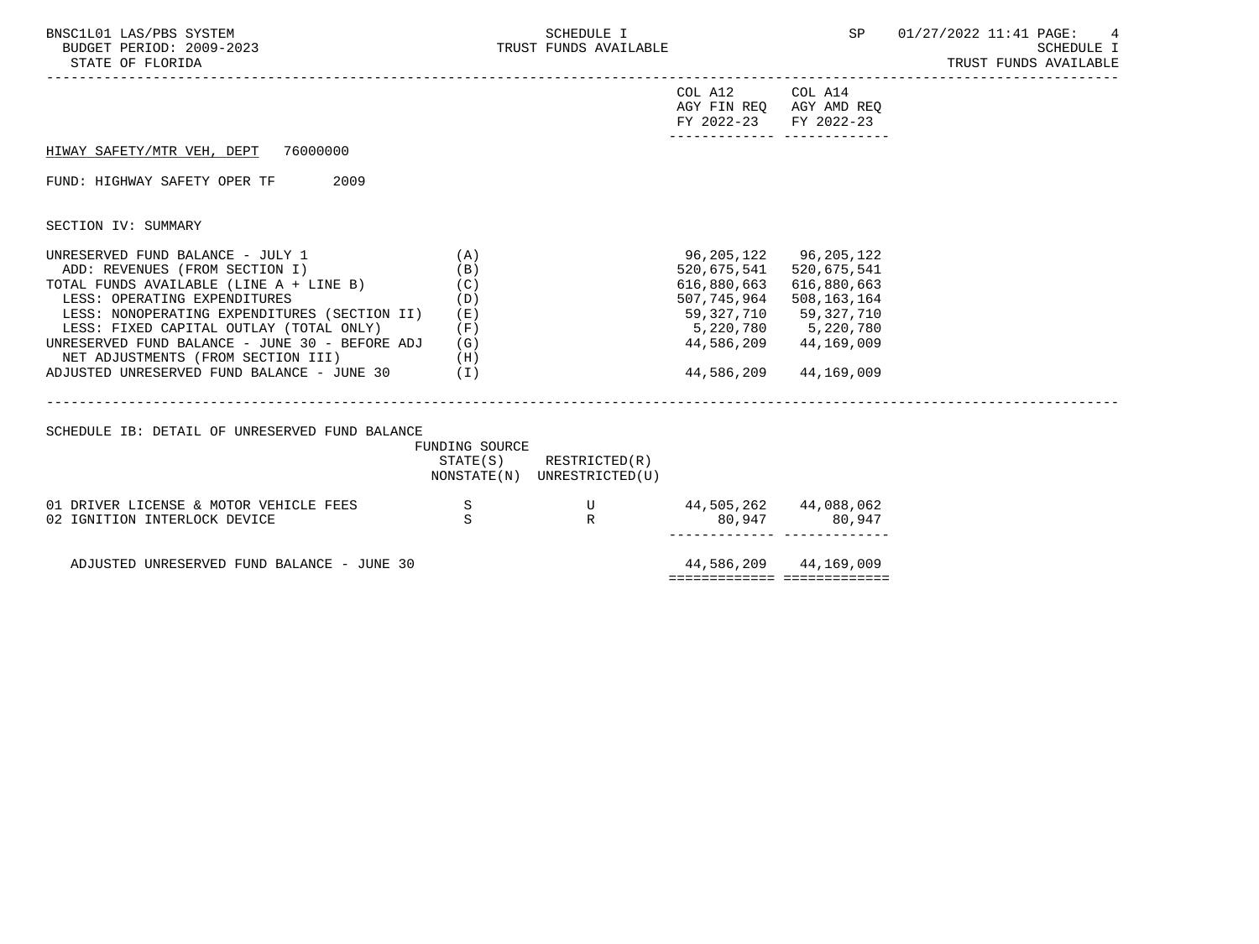| BNSC1L01 LAS/PBS SYSTEM<br>BUDGET PERIOD: 2009-2023<br>STATE OF FLORIDA                                                                                                                                                                                                                                                                                                                   |                                                 | SCHEDULE I<br>TRUST FUNDS AVAILABLE                        |                                                                                                           | SP                                                                                                      | 01/27/2022 11:41 PAGE:<br>4<br><b>SCHEDULE I</b><br>TRUST FUNDS AVAILABLE |
|-------------------------------------------------------------------------------------------------------------------------------------------------------------------------------------------------------------------------------------------------------------------------------------------------------------------------------------------------------------------------------------------|-------------------------------------------------|------------------------------------------------------------|-----------------------------------------------------------------------------------------------------------|---------------------------------------------------------------------------------------------------------|---------------------------------------------------------------------------|
|                                                                                                                                                                                                                                                                                                                                                                                           |                                                 |                                                            | COL A12 COL A14<br>AGY FIN REQ AGY AMD REQ<br>FY 2022-23 FY 2022-23                                       | _________________________________                                                                       |                                                                           |
| HIWAY SAFETY/MTR VEH, DEPT 76000000                                                                                                                                                                                                                                                                                                                                                       |                                                 |                                                            |                                                                                                           |                                                                                                         |                                                                           |
| FUND: HIGHWAY SAFETY OPER TF<br>2009                                                                                                                                                                                                                                                                                                                                                      |                                                 |                                                            |                                                                                                           |                                                                                                         |                                                                           |
| SECTION IV: SUMMARY                                                                                                                                                                                                                                                                                                                                                                       |                                                 |                                                            |                                                                                                           |                                                                                                         |                                                                           |
| UNRESERVED FUND BALANCE - JULY 1<br>ADD: REVENUES (FROM SECTION I)<br>TOTAL FUNDS AVAILABLE (LINE A + LINE B)<br>LESS: OPERATING EXPENDITURES<br>LESS: NONOPERATING EXPENDITURES (SECTION II)<br>LESS: FIXED CAPITAL OUTLAY (TOTAL ONLY)<br>UNRESERVED FUND BALANCE - JUNE 30 - BEFORE ADJ<br>(H)<br>NET ADJUSTMENTS (FROM SECTION III)<br>ADJUSTED UNRESERVED FUND BALANCE - JUNE 30 (I) | (A)<br>(B)<br>(C)<br>(D)<br>( E )<br>(F)<br>(G) |                                                            | 96,205,122 96,205,122<br>520,675,541<br>616,880,663<br>507,745,964<br>59,327,710 59,327,710<br>44,586,209 | 520,675,541<br>616,880,663<br>508,163,164<br>5,220,780 5,220,780<br>44,586,209 44,169,009<br>44,169,009 |                                                                           |
| SCHEDULE IB: DETAIL OF UNRESERVED FUND BALANCE                                                                                                                                                                                                                                                                                                                                            | FUNDING SOURCE                                  | $STATE(S)$ RESTRICTED $(R)$<br>NONSTATE(N) UNRESTRICTED(U) |                                                                                                           |                                                                                                         |                                                                           |
| 01 DRIVER LICENSE & MOTOR VEHICLE FEES<br>02 IGNITION INTERLOCK DEVICE                                                                                                                                                                                                                                                                                                                    | $\mathbf S$<br>S                                | U<br>R                                                     | 44,505,262 44,088,062                                                                                     | 80,947 80,947<br>_____________ _____________                                                            |                                                                           |
| ADJUSTED UNRESERVED FUND BALANCE - JUNE 30                                                                                                                                                                                                                                                                                                                                                |                                                 |                                                            |                                                                                                           | 44,586,209 44,169,009<br>============================                                                   |                                                                           |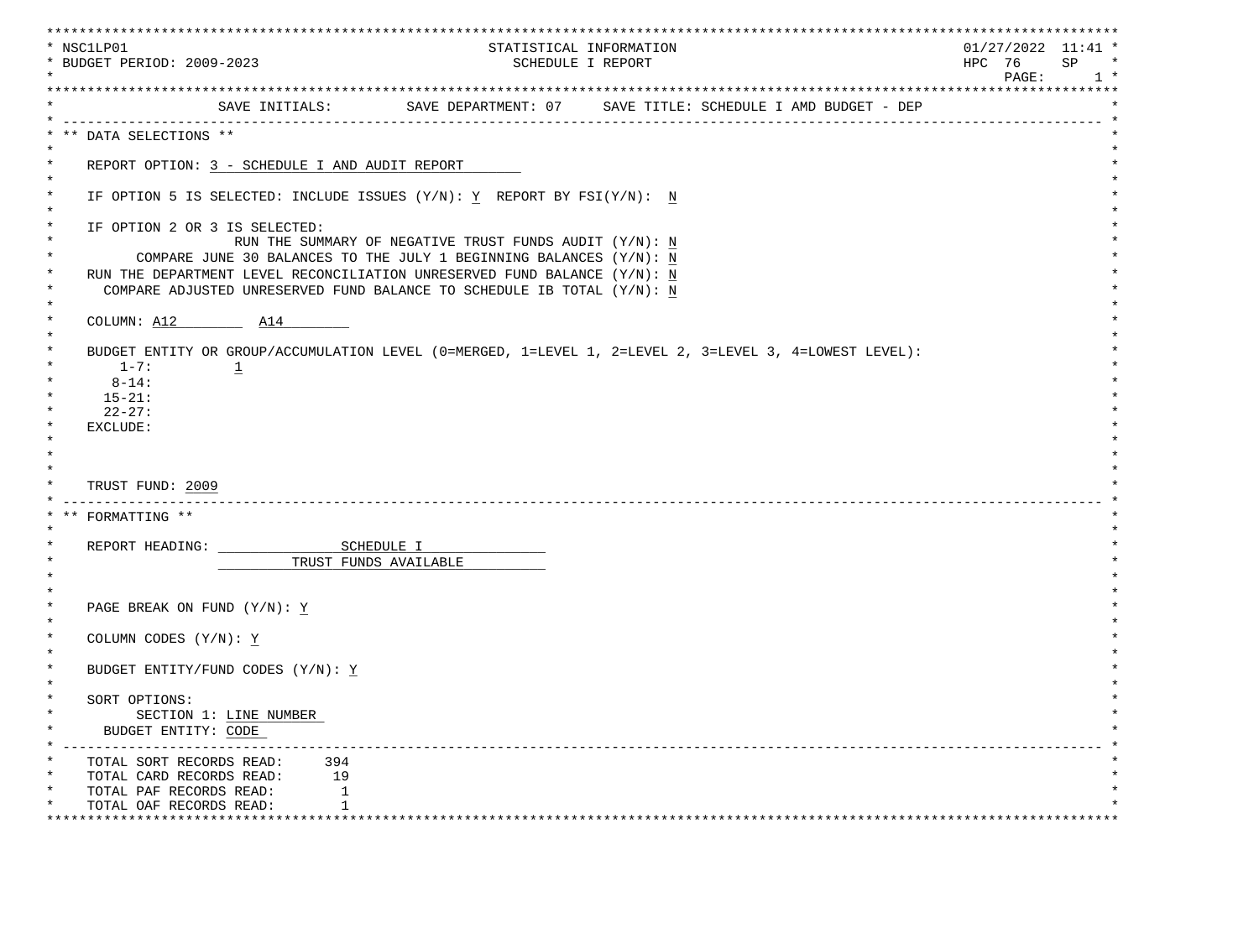| * NSC1LP01<br>* BUDGET PERIOD: 2009-2023                                                                                                                                     | STATISTICAL INFORMATION<br>SCHEDULE I REPORT                                                                                                                                                                                                                                                | $01/27/2022$ 11:41 *<br>HPC 76<br>SP<br>PAGE:<br>$1 *$ |
|------------------------------------------------------------------------------------------------------------------------------------------------------------------------------|---------------------------------------------------------------------------------------------------------------------------------------------------------------------------------------------------------------------------------------------------------------------------------------------|--------------------------------------------------------|
|                                                                                                                                                                              | SAVE INITIALS: SAVE DEPARTMENT: 07 SAVE TITLE: SCHEDULE I AMD BUDGET - DEP                                                                                                                                                                                                                  |                                                        |
| DATA SELECTIONS **                                                                                                                                                           |                                                                                                                                                                                                                                                                                             |                                                        |
| $\star$<br>REPORT OPTION: 3 - SCHEDULE I AND AUDIT REPORT                                                                                                                    |                                                                                                                                                                                                                                                                                             |                                                        |
| $\ast$<br>$\ast$<br>$\ast$                                                                                                                                                   | IF OPTION 5 IS SELECTED: INCLUDE ISSUES (Y/N): Y REPORT BY FSI(Y/N): N                                                                                                                                                                                                                      |                                                        |
| $\ast$<br>IF OPTION 2 OR 3 IS SELECTED:<br>$\star$<br>$^\star$<br>$\ast$<br>$\star$                                                                                          | RUN THE SUMMARY OF NEGATIVE TRUST FUNDS AUDIT $(Y/N)$ : N<br>COMPARE JUNE 30 BALANCES TO THE JULY 1 BEGINNING BALANCES $(Y/N)$ : N<br>RUN THE DEPARTMENT LEVEL RECONCILIATION UNRESERVED FUND BALANCE (Y/N): N<br>COMPARE ADJUSTED UNRESERVED FUND BALANCE TO SCHEDULE IB TOTAL $(Y/N)$ : N |                                                        |
| $\ast$<br>COLUMN: A12 A14<br>$\star$                                                                                                                                         |                                                                                                                                                                                                                                                                                             |                                                        |
| $\ast$<br>$1 - 7:$<br>$\overline{1}$<br>$8 - 14:$<br>$15 - 21:$<br>$22 - 27:$<br>EXCLUDE:                                                                                    | BUDGET ENTITY OR GROUP/ACCUMULATION LEVEL (0=MERGED, 1=LEVEL 1, 2=LEVEL 2, 3=LEVEL 3, 4=LOWEST LEVEL):                                                                                                                                                                                      |                                                        |
| TRUST FUND: 2009                                                                                                                                                             |                                                                                                                                                                                                                                                                                             |                                                        |
| FORMATTING **                                                                                                                                                                |                                                                                                                                                                                                                                                                                             |                                                        |
| $\star$                                                                                                                                                                      | TRUST FUNDS AVAILABLE                                                                                                                                                                                                                                                                       |                                                        |
| $\ast$<br>PAGE BREAK ON FUND (Y/N): Y<br>$\star$                                                                                                                             |                                                                                                                                                                                                                                                                                             |                                                        |
| $\ast$<br>COLUMN CODES (Y/N): $\underline{Y}$<br>$\star$                                                                                                                     |                                                                                                                                                                                                                                                                                             |                                                        |
| $\star$<br>BUDGET ENTITY/FUND CODES $(Y/N): Y$                                                                                                                               |                                                                                                                                                                                                                                                                                             |                                                        |
| SORT OPTIONS:<br>SECTION 1: LINE NUMBER<br>BUDGET ENTITY: CODE                                                                                                               |                                                                                                                                                                                                                                                                                             |                                                        |
| $\ast$<br>TOTAL SORT RECORDS READ:<br>394<br>$^\star$<br>19<br>TOTAL CARD RECORDS READ:<br>$^\star$<br>TOTAL PAF RECORDS READ:<br>1<br>1<br>TOTAL OAF RECORDS READ:<br>***** |                                                                                                                                                                                                                                                                                             |                                                        |